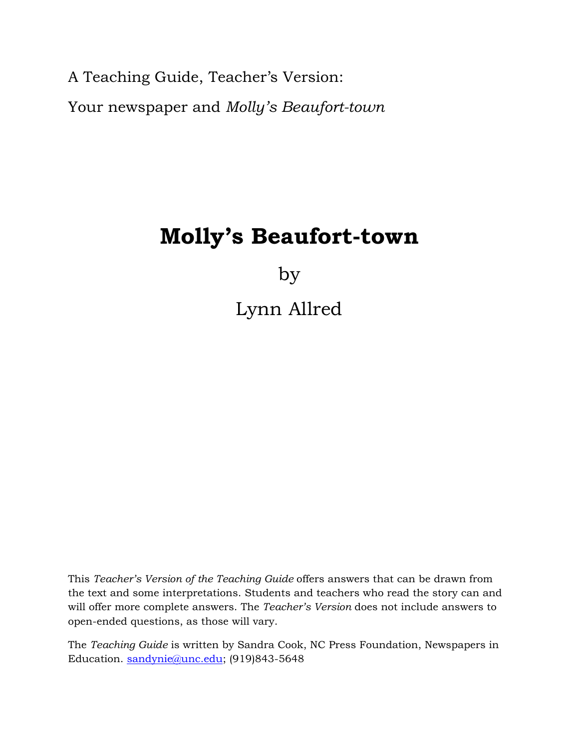A Teaching Guide, Teacher's Version: Your newspaper and *Molly's Beaufort-town* 

# **Molly's Beaufort-town**

by

Lynn Allred

This *Teacher's Version of the Teaching Guide* offers answers that can be drawn from the text and some interpretations. Students and teachers who read the story can and will offer more complete answers. The *Teacher's Version* does not include answers to open-ended questions, as those will vary.

The *Teaching Guide* is written by Sandra Cook, NC Press Foundation, Newspapers in Education. sandynie@unc.edu; (919)843-5648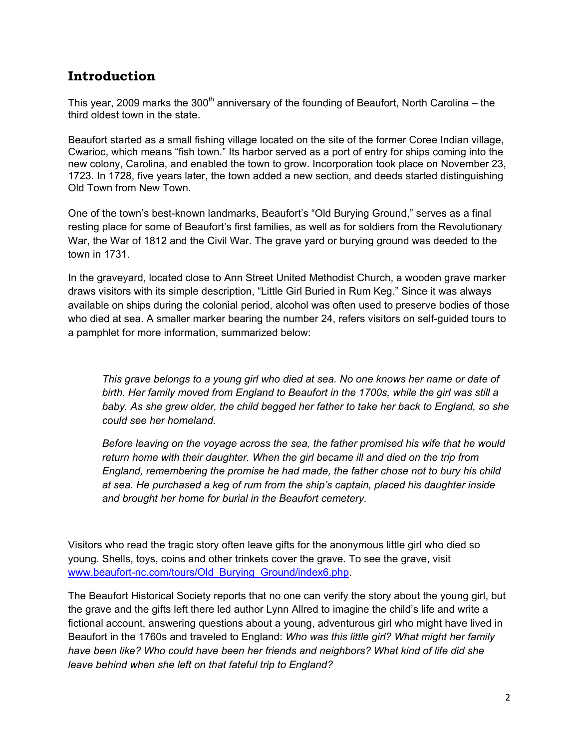### **Introduction**

This year, 2009 marks the 300<sup>th</sup> anniversary of the founding of Beaufort, North Carolina – the third oldest town in the state.

Beaufort started as a small fishing village located on the site of the former Coree Indian village, Cwarioc, which means "fish town." Its harbor served as a port of entry for ships coming into the new colony, Carolina, and enabled the town to grow. Incorporation took place on November 23, 1723. In 1728, five years later, the town added a new section, and deeds started distinguishing Old Town from New Town.

One of the town's best-known landmarks, Beaufort's "Old Burying Ground," serves as a final resting place for some of Beaufort's first families, as well as for soldiers from the Revolutionary War, the War of 1812 and the Civil War. The grave yard or burying ground was deeded to the town in 1731.

In the graveyard, located close to Ann Street United Methodist Church, a wooden grave marker draws visitors with its simple description, "Little Girl Buried in Rum Keg." Since it was always available on ships during the colonial period, alcohol was often used to preserve bodies of those who died at sea. A smaller marker bearing the number 24, refers visitors on self-guided tours to a pamphlet for more information, summarized below:

*This grave belongs to a young girl who died at sea. No one knows her name or date of birth. Her family moved from England to Beaufort in the 1700s, while the girl was still a baby. As she grew older, the child begged her father to take her back to England, so she could see her homeland.* 

*Before leaving on the voyage across the sea, the father promised his wife that he would return home with their daughter. When the girl became ill and died on the trip from England, remembering the promise he had made, the father chose not to bury his child at sea. He purchased a keg of rum from the ship's captain, placed his daughter inside and brought her home for burial in the Beaufort cemetery.* 

Visitors who read the tragic story often leave gifts for the anonymous little girl who died so young. Shells, toys, coins and other trinkets cover the grave. To see the grave, visit www.beaufort-nc.com/tours/Old\_Burying\_Ground/index6.php.

The Beaufort Historical Society reports that no one can verify the story about the young girl, but the grave and the gifts left there led author Lynn Allred to imagine the child's life and write a fictional account, answering questions about a young, adventurous girl who might have lived in Beaufort in the 1760s and traveled to England: *Who was this little girl? What might her family have been like? Who could have been her friends and neighbors? What kind of life did she leave behind when she left on that fateful trip to England?*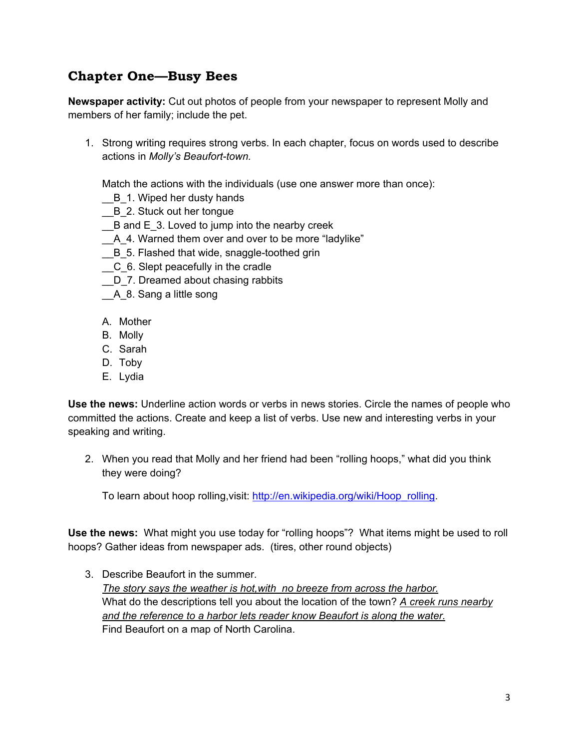# **Chapter One—Busy Bees**

**Newspaper activity:** Cut out photos of people from your newspaper to represent Molly and members of her family; include the pet.

1. Strong writing requires strong verbs. In each chapter, focus on words used to describe actions in *Molly's Beaufort-town.*

Match the actions with the individuals (use one answer more than once):

- B\_1. Wiped her dusty hands
- B 2. Stuck out her tongue
- $B$  and  $E$  3. Loved to jump into the nearby creek
- \_\_A\_4. Warned them over and over to be more "ladylike"
- B 5. Flashed that wide, snaggle-toothed grin
- \_\_C\_6. Slept peacefully in the cradle
- D 7. Dreamed about chasing rabbits
- \_\_A\_8. Sang a little song
- A. Mother
- B. Molly
- C. Sarah
- D. Toby
- E. Lydia

**Use the news:** Underline action words or verbs in news stories. Circle the names of people who committed the actions. Create and keep a list of verbs. Use new and interesting verbs in your speaking and writing.

2. When you read that Molly and her friend had been "rolling hoops," what did you think they were doing?

To learn about hoop rolling,visit: http://en.wikipedia.org/wiki/Hoop\_rolling.

**Use the news:** What might you use today for "rolling hoops"? What items might be used to roll hoops? Gather ideas from newspaper ads. (tires, other round objects)

3. Describe Beaufort in the summer. *The story says the weather is hot,with no breeze from across the harbor.* What do the descriptions tell you about the location of the town? *A creek runs nearby and the reference to a harbor lets reader know Beaufort is along the water.* Find Beaufort on a map of North Carolina.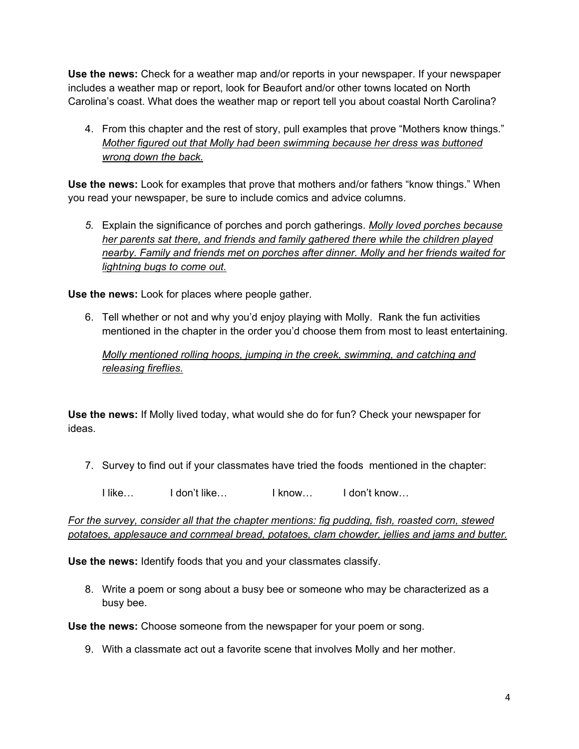**Use the news:** Check for a weather map and/or reports in your newspaper. If your newspaper includes a weather map or report, look for Beaufort and/or other towns located on North Carolina's coast. What does the weather map or report tell you about coastal North Carolina?

4. From this chapter and the rest of story, pull examples that prove "Mothers know things." *Mother figured out that Molly had been swimming because her dress was buttoned wrong down the back.*

**Use the news:** Look for examples that prove that mothers and/or fathers "know things." When you read your newspaper, be sure to include comics and advice columns.

*5.* Explain the significance of porches and porch gatherings. *Molly loved porches because her parents sat there, and friends and family gathered there while the children played nearby. Family and friends met on porches after dinner. Molly and her friends waited for lightning bugs to come out.*

**Use the news:** Look for places where people gather.

6. Tell whether or not and why you'd enjoy playing with Molly. Rank the fun activities mentioned in the chapter in the order you'd choose them from most to least entertaining.

*Molly mentioned rolling hoops, jumping in the creek, swimming, and catching and releasing fireflies.*

**Use the news:** If Molly lived today, what would she do for fun? Check your newspaper for ideas.

- 7. Survey to find out if your classmates have tried the foods mentioned in the chapter:
	- I like… I don't like… I know… I don't know…

*For the survey, consider all that the chapter mentions: fig pudding, fish, roasted corn, stewed potatoes, applesauce and cornmeal bread, potatoes, clam chowder, jellies and jams and butter.*

**Use the news:** Identify foods that you and your classmates classify.

8. Write a poem or song about a busy bee or someone who may be characterized as a busy bee.

**Use the news:** Choose someone from the newspaper for your poem or song.

9. With a classmate act out a favorite scene that involves Molly and her mother.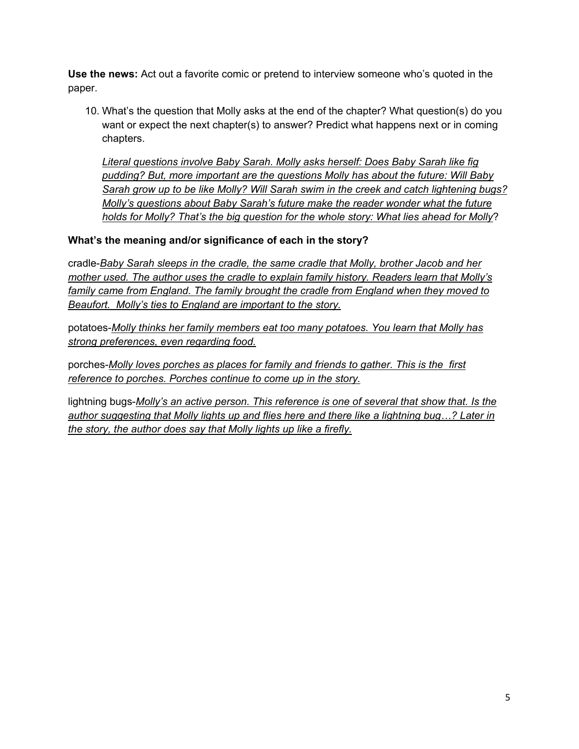**Use the news:** Act out a favorite comic or pretend to interview someone who's quoted in the paper.

10. What's the question that Molly asks at the end of the chapter? What question(s) do you want or expect the next chapter(s) to answer? Predict what happens next or in coming chapters.

*Literal questions involve Baby Sarah. Molly asks herself: Does Baby Sarah like fig pudding? But, more important are the questions Molly has about the future: Will Baby Sarah grow up to be like Molly? Will Sarah swim in the creek and catch lightening bugs? Molly's questions about Baby Sarah's future make the reader wonder what the future holds for Molly? That's the big question for the whole story: What lies ahead for Molly*?

### **What's the meaning and/or significance of each in the story?**

cradle-*Baby Sarah sleeps in the cradle, the same cradle that Molly, brother Jacob and her mother used. The author uses the cradle to explain family history. Readers learn that Molly's family came from England. The family brought the cradle from England when they moved to Beaufort. Molly's ties to England are important to the story.*

potatoes-*Molly thinks her family members eat too many potatoes. You learn that Molly has strong preferences, even regarding food.*

porches-*Molly loves porches as places for family and friends to gather. This is the first reference to porches. Porches continue to come up in the story.*

lightning bugs-*Molly's an active person. This reference is one of several that show that. Is the author suggesting that Molly lights up and flies here and there like a lightning bug…? Later in the story, the author does say that Molly lights up like a firefly.*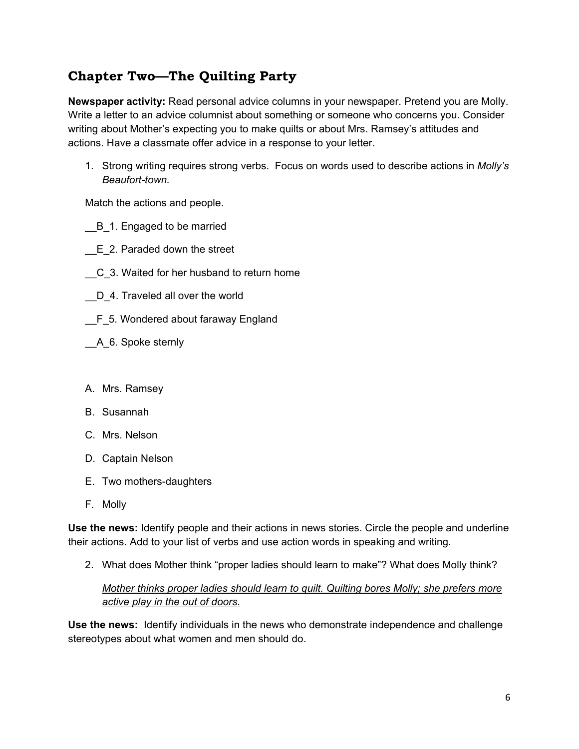# **Chapter Two—The Quilting Party**

**Newspaper activity:** Read personal advice columns in your newspaper. Pretend you are Molly. Write a letter to an advice columnist about something or someone who concerns you. Consider writing about Mother's expecting you to make quilts or about Mrs. Ramsey's attitudes and actions. Have a classmate offer advice in a response to your letter.

1. Strong writing requires strong verbs. Focus on words used to describe actions in *Molly's Beaufort-town.*

Match the actions and people.

- \_\_B\_1. Engaged to be married
- \_\_E\_2. Paraded down the street
- \_\_C\_3. Waited for her husband to return home
- D 4. Traveled all over the world
- F 5. Wondered about faraway England
- \_\_A\_6. Spoke sternly
- A. Mrs. Ramsey
- B. Susannah
- C. Mrs. Nelson
- D. Captain Nelson
- E. Two mothers-daughters
- F. Molly

**Use the news:** Identify people and their actions in news stories. Circle the people and underline their actions. Add to your list of verbs and use action words in speaking and writing.

2. What does Mother think "proper ladies should learn to make"? What does Molly think?

### *Mother thinks proper ladies should learn to quilt. Quilting bores Molly; she prefers more active play in the out of doors.*

**Use the news:** Identify individuals in the news who demonstrate independence and challenge stereotypes about what women and men should do.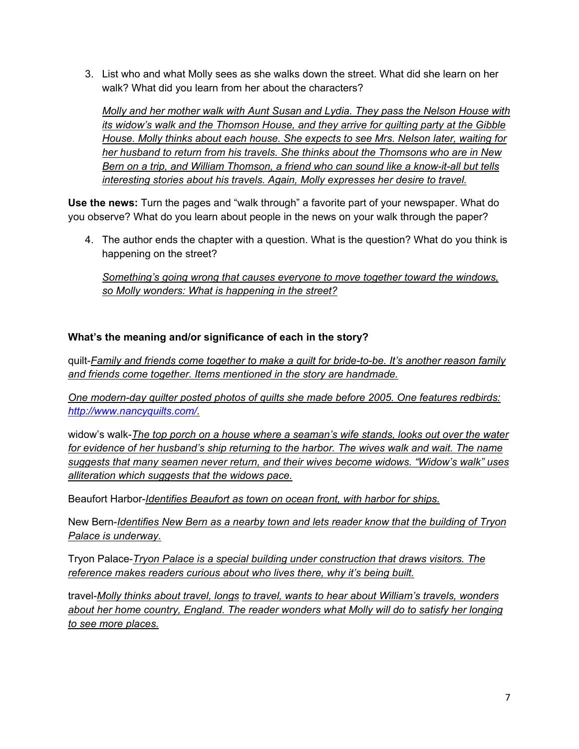3. List who and what Molly sees as she walks down the street. What did she learn on her walk? What did you learn from her about the characters?

*Molly and her mother walk with Aunt Susan and Lydia. They pass the Nelson House with its widow's walk and the Thomson House, and they arrive for quilting party at the Gibble House. Molly thinks about each house. She expects to see Mrs. Nelson later, waiting for her husband to return from his travels. She thinks about the Thomsons who are in New Bern on a trip, and William Thomson, a friend who can sound like a know-it-all but tells interesting stories about his travels. Again, Molly expresses her desire to travel.* 

**Use the news:** Turn the pages and "walk through" a favorite part of your newspaper. What do you observe? What do you learn about people in the news on your walk through the paper?

4. The author ends the chapter with a question. What is the question? What do you think is happening on the street?

*Something's going wrong that causes everyone to move together toward the windows, so Molly wonders: What is happening in the street?*

### **What's the meaning and/or significance of each in the story?**

quilt-*Family and friends come together to make a quilt for bride-to-be. It's another reason family and friends come together. Items mentioned in the story are handmade.* 

*One modern-day quilter posted photos of quilts she made before 2005. One features redbirds: http://www.nancyquilts.com/.*

widow's walk-*The top porch on a house where a seaman's wife stands, looks out over the water for evidence of her husband's ship returning to the harbor. The wives walk and wait. The name suggests that many seamen never return, and their wives become widows. "Widow's walk" uses alliteration which suggests that the widows pace.* 

Beaufort Harbor-*Identifies Beaufort as town on ocean front, with harbor for ships.*

New Bern-*Identifies New Bern as a nearby town and lets reader know that the building of Tryon Palace is underway.*

Tryon Palace-*Tryon Palace is a special building under construction that draws visitors. The reference makes readers curious about who lives there, why it's being built.*

travel-*Molly thinks about travel, longs to travel, wants to hear about William's travels, wonders about her home country, England. The reader wonders what Molly will do to satisfy her longing to see more places.*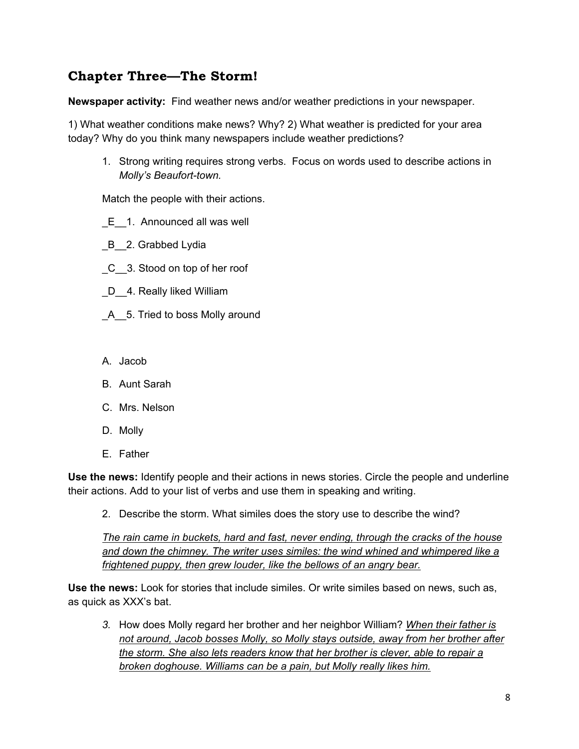# **Chapter Three—The Storm!**

**Newspaper activity:** Find weather news and/or weather predictions in your newspaper.

1) What weather conditions make news? Why? 2) What weather is predicted for your area today? Why do you think many newspapers include weather predictions?

1. Strong writing requires strong verbs. Focus on words used to describe actions in *Molly's Beaufort-town.*

Match the people with their actions.

- E 1. Announced all was well
- B<sub>2</sub>. Grabbed Lydia
- \_C\_\_3. Stood on top of her roof
- D<sub>\_\_</sub>4. Really liked William
- \_A\_\_5. Tried to boss Molly around
- A. Jacob
- B. Aunt Sarah
- C. Mrs. Nelson
- D. Molly
- E. Father

**Use the news:** Identify people and their actions in news stories. Circle the people and underline their actions. Add to your list of verbs and use them in speaking and writing.

2. Describe the storm. What similes does the story use to describe the wind?

*The rain came in buckets, hard and fast, never ending, through the cracks of the house and down the chimney. The writer uses similes: the wind whined and whimpered like a frightened puppy, then grew louder, like the bellows of an angry bear.*

**Use the news:** Look for stories that include similes. Or write similes based on news, such as, as quick as XXX's bat.

*3.* How does Molly regard her brother and her neighbor William? *When their father is not around, Jacob bosses Molly, so Molly stays outside, away from her brother after the storm. She also lets readers know that her brother is clever, able to repair a broken doghouse. Williams can be a pain, but Molly really likes him.*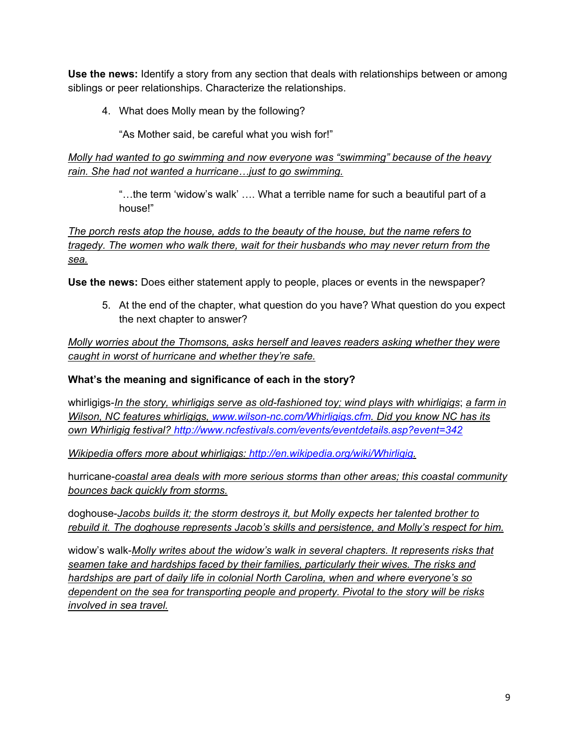**Use the news:** Identify a story from any section that deals with relationships between or among siblings or peer relationships. Characterize the relationships.

4. What does Molly mean by the following?

"As Mother said, be careful what you wish for!"

*Molly had wanted to go swimming and now everyone was "swimming" because of the heavy rain. She had not wanted a hurricane…just to go swimming.* 

> "…the term 'widow's walk' …. What a terrible name for such a beautiful part of a house!"

*The porch rests atop the house, adds to the beauty of the house, but the name refers to tragedy. The women who walk there, wait for their husbands who may never return from the sea.*

**Use the news:** Does either statement apply to people, places or events in the newspaper?

5. At the end of the chapter, what question do you have? What question do you expect the next chapter to answer?

*Molly worries about the Thomsons, asks herself and leaves readers asking whether they were caught in worst of hurricane and whether they're safe.*

### **What's the meaning and significance of each in the story?**

whirligigs-*In the story, whirligigs serve as old-fashioned toy; wind plays with whirligigs*; *a farm in Wilson, NC features whirligigs, www.wilson-nc.com/Whirligigs.cfm. Did you know NC has its own Whirligig festival? http://www.ncfestivals.com/events/eventdetails.asp?event=342*

*Wikipedia offers more about whirligigs: http://en.wikipedia.org/wiki/Whirligig.*

hurricane-*coastal area deals with more serious storms than other areas; this coastal community bounces back quickly from storms.*

doghouse-*Jacobs builds it; the storm destroys it, but Molly expects her talented brother to rebuild it. The doghouse represents Jacob's skills and persistence, and Molly's respect for him.* 

widow's walk-*Molly writes about the widow's walk in several chapters. It represents risks that seamen take and hardships faced by their families, particularly their wives. The risks and hardships are part of daily life in colonial North Carolina, when and where everyone's so dependent on the sea for transporting people and property. Pivotal to the story will be risks involved in sea travel.*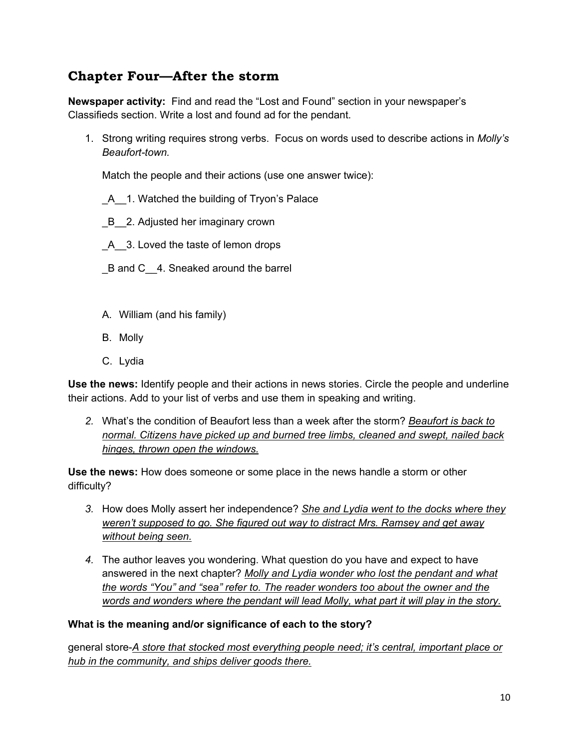# **Chapter Four—After the storm**

**Newspaper activity:** Find and read the "Lost and Found" section in your newspaper's Classifieds section. Write a lost and found ad for the pendant.

1. Strong writing requires strong verbs. Focus on words used to describe actions in *Molly's Beaufort-town.*

Match the people and their actions (use one answer twice):

- A 1. Watched the building of Tryon's Palace
- B 2. Adjusted her imaginary crown
- A 3. Loved the taste of lemon drops
- B and C 4. Sneaked around the barrel
- A. William (and his family)
- B. Molly
- C. Lydia

**Use the news:** Identify people and their actions in news stories. Circle the people and underline their actions. Add to your list of verbs and use them in speaking and writing.

*2.* What's the condition of Beaufort less than a week after the storm? *Beaufort is back to normal. Citizens have picked up and burned tree limbs, cleaned and swept, nailed back hinges, thrown open the windows.*

**Use the news:** How does someone or some place in the news handle a storm or other difficulty?

- *3.* How does Molly assert her independence? *She and Lydia went to the docks where they weren't supposed to go. She figured out way to distract Mrs. Ramsey and get away without being seen.*
- *4.* The author leaves you wondering. What question do you have and expect to have answered in the next chapter? *Molly and Lydia wonder who lost the pendant and what the words "You" and "sea" refer to. The reader wonders too about the owner and the words and wonders where the pendant will lead Molly, what part it will play in the story.*

#### **What is the meaning and/or significance of each to the story?**

general store-*A store that stocked most everything people need; it's central, important place or hub in the community, and ships deliver goods there.*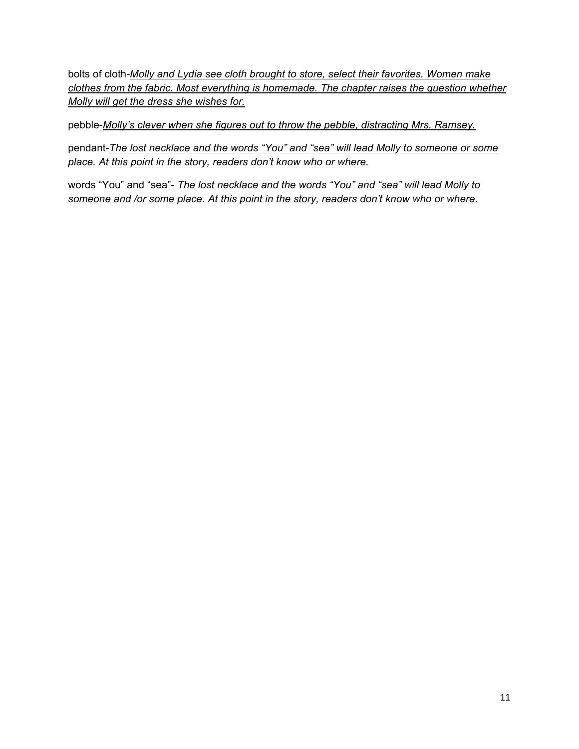bolts of cloth-*Molly and Lydia see cloth brought to store, select their favorites. Women make clothes from the fabric. Most everything is homemade. The chapter raises the question whether Molly will get the dress she wishes for.*

pebble-*Molly's clever when she figures out to throw the pebble, distracting Mrs. Ramsey.*

pendant-*The lost necklace and the words "You" and "sea" will lead Molly to someone or some place. At this point in the story, readers don't know who or where.*

words "You" and "sea"- *The lost necklace and the words "You" and "sea" will lead Molly to someone and /or some place. At this point in the story, readers don't know who or where.*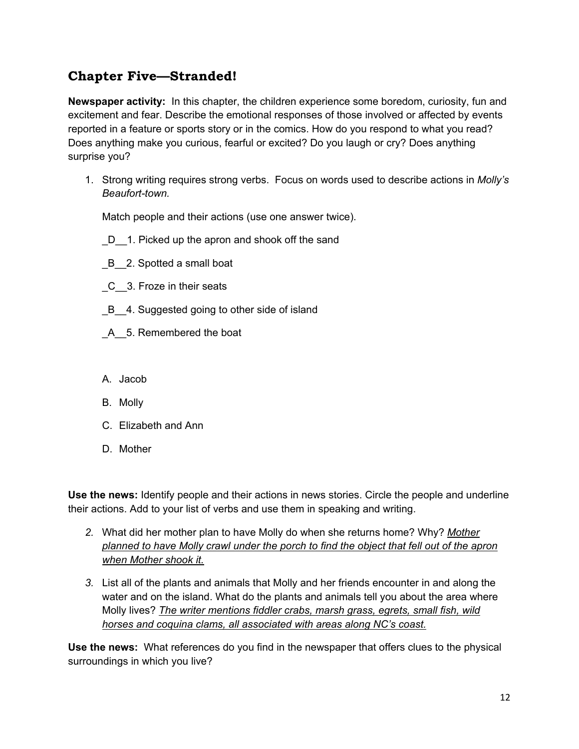# **Chapter Five—Stranded!**

**Newspaper activity:** In this chapter, the children experience some boredom, curiosity, fun and excitement and fear. Describe the emotional responses of those involved or affected by events reported in a feature or sports story or in the comics. How do you respond to what you read? Does anything make you curious, fearful or excited? Do you laugh or cry? Does anything surprise you?

1. Strong writing requires strong verbs. Focus on words used to describe actions in *Molly's Beaufort-town.*

Match people and their actions (use one answer twice).

- D 1. Picked up the apron and shook off the sand
- \_B\_\_2. Spotted a small boat
- \_C\_\_3. Froze in their seats
- B 4. Suggested going to other side of island
- \_A\_\_5. Remembered the boat
- A. Jacob
- B. Molly
- C. Elizabeth and Ann
- D. Mother

**Use the news:** Identify people and their actions in news stories. Circle the people and underline their actions. Add to your list of verbs and use them in speaking and writing.

- *2.* What did her mother plan to have Molly do when she returns home? Why? *Mother planned to have Molly crawl under the porch to find the object that fell out of the apron when Mother shook it.*
- *3.* List all of the plants and animals that Molly and her friends encounter in and along the water and on the island. What do the plants and animals tell you about the area where Molly lives? *The writer mentions fiddler crabs, marsh grass, egrets, small fish, wild horses and coquina clams, all associated with areas along NC's coast.*

**Use the news:** What references do you find in the newspaper that offers clues to the physical surroundings in which you live?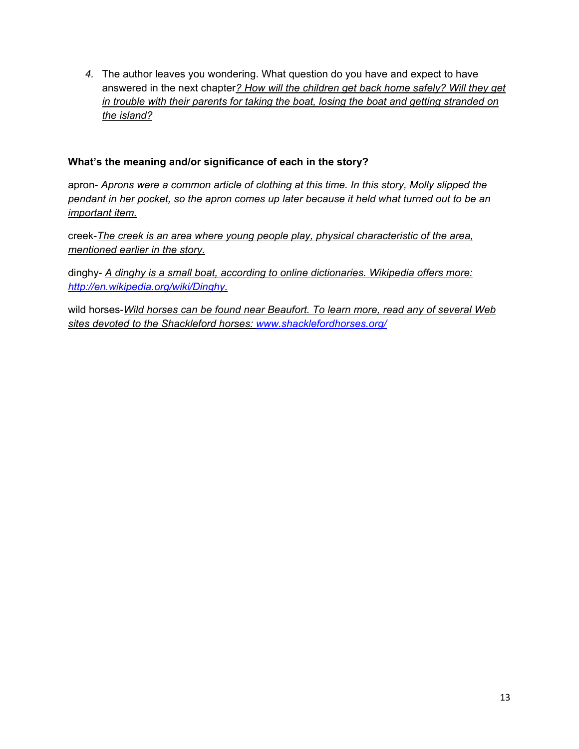*4.* The author leaves you wondering. What question do you have and expect to have answered in the next chapter*? How will the children get back home safely? Will they get in trouble with their parents for taking the boat, losing the boat and getting stranded on the island?*

#### **What's the meaning and/or significance of each in the story?**

apron- *Aprons were a common article of clothing at this time. In this story, Molly slipped the pendant in her pocket, so the apron comes up later because it held what turned out to be an important item.*

creek-*The creek is an area where young people play, physical characteristic of the area, mentioned earlier in the story.*

dinghy- *A dinghy is a small boat, according to online dictionaries. Wikipedia offers more: http://en.wikipedia.org/wiki/Dinghy.*

wild horses-*Wild horses can be found near Beaufort. To learn more, read any of several Web sites devoted to the Shackleford horses: www.shacklefordhorses.org/*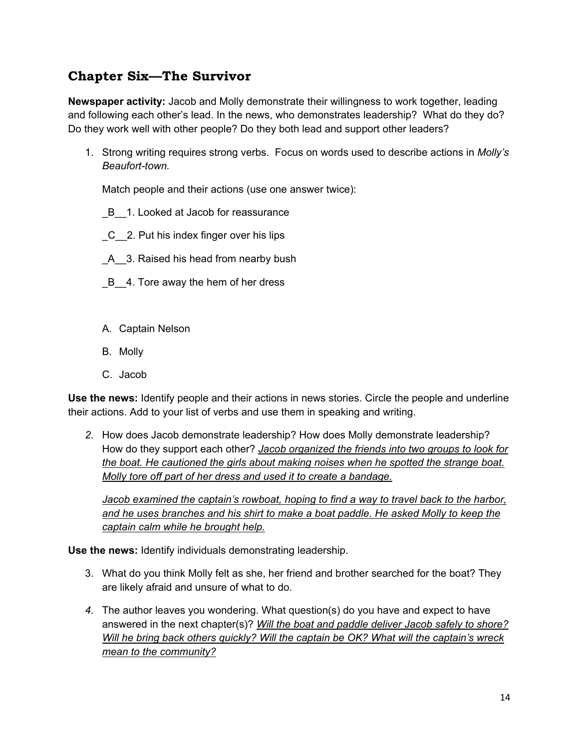# **Chapter Six—The Survivor**

**Newspaper activity:** Jacob and Molly demonstrate their willingness to work together, leading and following each other's lead. In the news, who demonstrates leadership? What do they do? Do they work well with other people? Do they both lead and support other leaders?

1. Strong writing requires strong verbs. Focus on words used to describe actions in *Molly's Beaufort-town.*

Match people and their actions (use one answer twice):

- B 1. Looked at Jacob for reassurance
- \_C\_\_2. Put his index finger over his lips
- \_A\_\_3. Raised his head from nearby bush
- B 4. Tore away the hem of her dress
- A. Captain Nelson
- B. Molly
- C. Jacob

**Use the news:** Identify people and their actions in news stories. Circle the people and underline their actions. Add to your list of verbs and use them in speaking and writing.

*2.* How does Jacob demonstrate leadership? How does Molly demonstrate leadership? How do they support each other? *Jacob organized the friends into two groups to look for the boat. He cautioned the girls about making noises when he spotted the strange boat. Molly tore off part of her dress and used it to create a bandage.* 

*Jacob examined the captain's rowboat, hoping to find a way to travel back to the harbor, and he uses branches and his shirt to make a boat paddle. He asked Molly to keep the captain calm while he brought help.* 

**Use the news:** Identify individuals demonstrating leadership.

- 3. What do you think Molly felt as she, her friend and brother searched for the boat? They are likely afraid and unsure of what to do.
- *4.* The author leaves you wondering. What question(s) do you have and expect to have answered in the next chapter(s)? *Will the boat and paddle deliver Jacob safely to shore? Will he bring back others quickly? Will the captain be OK? What will the captain's wreck mean to the community?*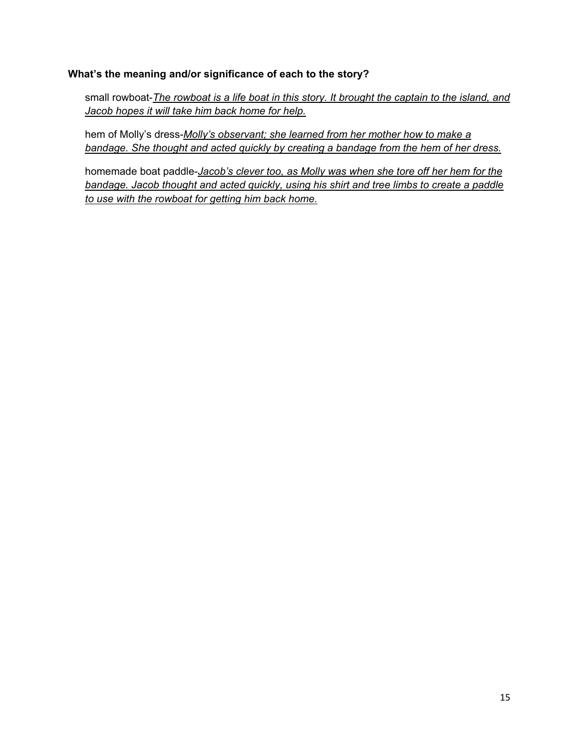#### **What's the meaning and/or significance of each to the story?**

small rowboat-*The rowboat is a life boat in this story. It brought the captain to the island, and Jacob hopes it will take him back home for help.*

hem of Molly's dress-*Molly's observant; she learned from her mother how to make a bandage. She thought and acted quickly by creating a bandage from the hem of her dress.* 

homemade boat paddle-*Jacob's clever too, as Molly was when she tore off her hem for the bandage. Jacob thought and acted quickly, using his shirt and tree limbs to create a paddle to use with the rowboat for getting him back home.*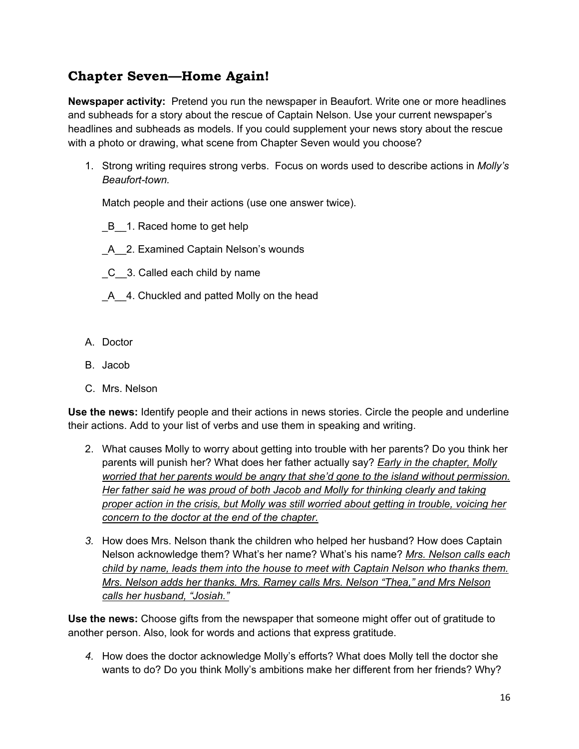# **Chapter Seven—Home Again!**

**Newspaper activity:** Pretend you run the newspaper in Beaufort. Write one or more headlines and subheads for a story about the rescue of Captain Nelson. Use your current newspaper's headlines and subheads as models. If you could supplement your news story about the rescue with a photo or drawing, what scene from Chapter Seven would you choose?

1. Strong writing requires strong verbs. Focus on words used to describe actions in *Molly's Beaufort-town.*

Match people and their actions (use one answer twice).

- B 1. Raced home to get help
- \_A\_\_2. Examined Captain Nelson's wounds
- C 3. Called each child by name
- A<sub>\_4</sub>. Chuckled and patted Molly on the head
- A. Doctor
- B. Jacob
- C. Mrs. Nelson

**Use the news:** Identify people and their actions in news stories. Circle the people and underline their actions. Add to your list of verbs and use them in speaking and writing.

- 2. What causes Molly to worry about getting into trouble with her parents? Do you think her parents will punish her? What does her father actually say? *Early in the chapter, Molly worried that her parents would be angry that she'd gone to the island without permission. Her father said he was proud of both Jacob and Molly for thinking clearly and taking proper action in the crisis, but Molly was still worried about getting in trouble, voicing her concern to the doctor at the end of the chapter.*
- *3.* How does Mrs. Nelson thank the children who helped her husband? How does Captain Nelson acknowledge them? What's her name? What's his name? *Mrs. Nelson calls each child by name, leads them into the house to meet with Captain Nelson who thanks them. Mrs. Nelson adds her thanks. Mrs. Ramey calls Mrs. Nelson "Thea," and Mrs Nelson calls her husband, "Josiah."*

**Use the news:** Choose gifts from the newspaper that someone might offer out of gratitude to another person. Also, look for words and actions that express gratitude.

*4.* How does the doctor acknowledge Molly's efforts? What does Molly tell the doctor she wants to do? Do you think Molly's ambitions make her different from her friends? Why?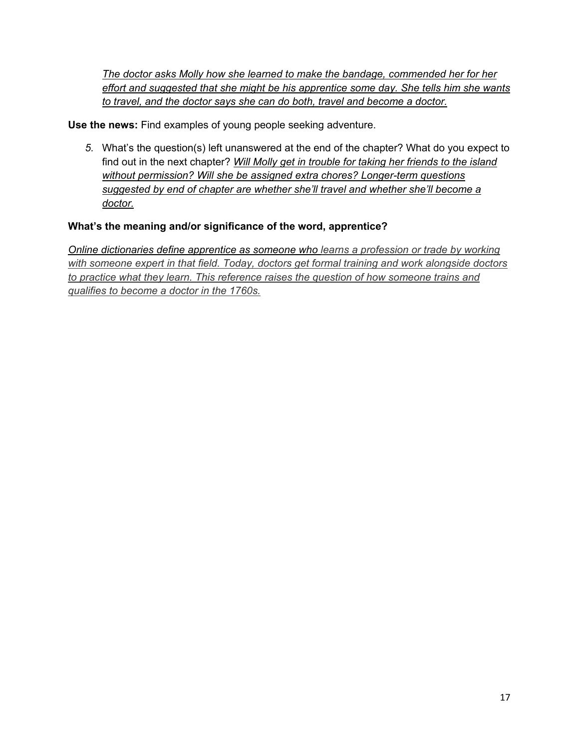*The doctor asks Molly how she learned to make the bandage, commended her for her effort and suggested that she might be his apprentice some day. She tells him she wants to travel, and the doctor says she can do both, travel and become a doctor.*

**Use the news:** Find examples of young people seeking adventure.

*5.* What's the question(s) left unanswered at the end of the chapter? What do you expect to find out in the next chapter? *Will Molly get in trouble for taking her friends to the island without permission? Will she be assigned extra chores? Longer-term questions suggested by end of chapter are whether she'll travel and whether she'll become a doctor.*

### **What's the meaning and/or significance of the word, apprentice?**

*Online dictionaries define apprentice as someone who learns a profession or trade by working with someone expert in that field. Today, doctors get formal training and work alongside doctors to practice what they learn. This reference raises the question of how someone trains and qualifies to become a doctor in the 1760s.*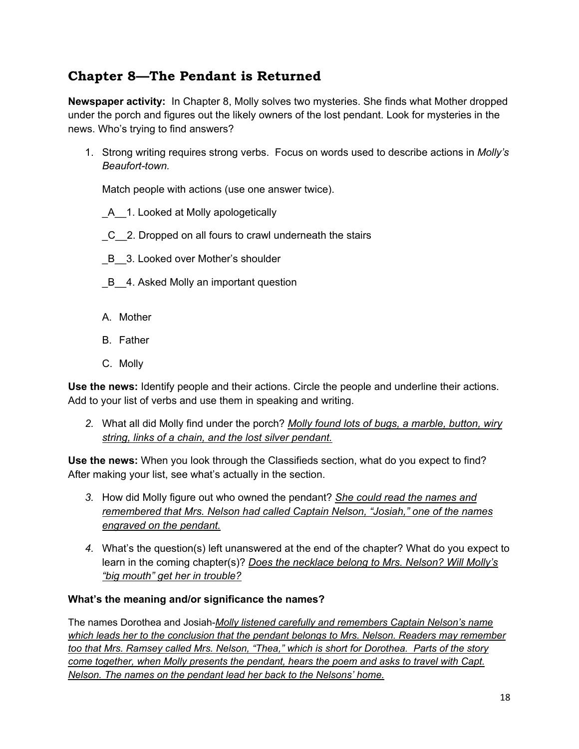# **Chapter 8—The Pendant is Returned**

**Newspaper activity:** In Chapter 8, Molly solves two mysteries. She finds what Mother dropped under the porch and figures out the likely owners of the lost pendant. Look for mysteries in the news. Who's trying to find answers?

1. Strong writing requires strong verbs. Focus on words used to describe actions in *Molly's Beaufort-town.*

Match people with actions (use one answer twice).

- A 1. Looked at Molly apologetically
- \_C\_\_2. Dropped on all fours to crawl underneath the stairs
- B 3. Looked over Mother's shoulder
- \_B\_\_4. Asked Molly an important question
- A. Mother
- B. Father
- C. Molly

**Use the news:** Identify people and their actions. Circle the people and underline their actions. Add to your list of verbs and use them in speaking and writing.

*2.* What all did Molly find under the porch? *Molly found lots of bugs, a marble, button, wiry string, links of a chain, and the lost silver pendant.*

**Use the news:** When you look through the Classifieds section, what do you expect to find? After making your list, see what's actually in the section.

- *3.* How did Molly figure out who owned the pendant? *She could read the names and remembered that Mrs. Nelson had called Captain Nelson, "Josiah," one of the names engraved on the pendant.*
- *4.* What's the question(s) left unanswered at the end of the chapter? What do you expect to learn in the coming chapter(s)? *Does the necklace belong to Mrs. Nelson? Will Molly's "big mouth" get her in trouble?*

#### **What's the meaning and/or significance the names?**

The names Dorothea and Josiah-*Molly listened carefully and remembers Captain Nelson's name which leads her to the conclusion that the pendant belongs to Mrs. Nelson. Readers may remember too that Mrs. Ramsey called Mrs. Nelson, "Thea," which is short for Dorothea. Parts of the story come together, when Molly presents the pendant, hears the poem and asks to travel with Capt. Nelson. The names on the pendant lead her back to the Nelsons' home.*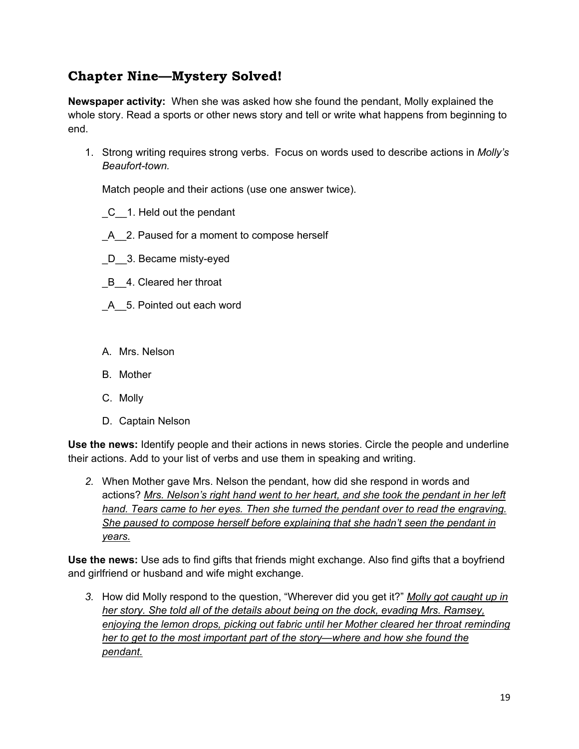# **Chapter Nine—Mystery Solved!**

**Newspaper activity:** When she was asked how she found the pendant, Molly explained the whole story. Read a sports or other news story and tell or write what happens from beginning to end.

1. Strong writing requires strong verbs. Focus on words used to describe actions in *Molly's Beaufort-town.*

Match people and their actions (use one answer twice).

- \_C\_\_1. Held out the pendant
- A 2. Paused for a moment to compose herself
- \_D\_\_3. Became misty-eyed
- B 4. Cleared her throat
- A 5. Pointed out each word
- A. Mrs. Nelson
- B. Mother
- C. Molly
- D. Captain Nelson

**Use the news:** Identify people and their actions in news stories. Circle the people and underline their actions. Add to your list of verbs and use them in speaking and writing.

*2.* When Mother gave Mrs. Nelson the pendant, how did she respond in words and actions? *Mrs. Nelson's right hand went to her heart, and she took the pendant in her left hand. Tears came to her eyes. Then she turned the pendant over to read the engraving. She paused to compose herself before explaining that she hadn't seen the pendant in years.*

**Use the news:** Use ads to find gifts that friends might exchange. Also find gifts that a boyfriend and girlfriend or husband and wife might exchange.

*3.* How did Molly respond to the question, "Wherever did you get it?" *Molly got caught up in her story. She told all of the details about being on the dock, evading Mrs. Ramsey, enjoying the lemon drops, picking out fabric until her Mother cleared her throat reminding her to get to the most important part of the story—where and how she found the pendant.*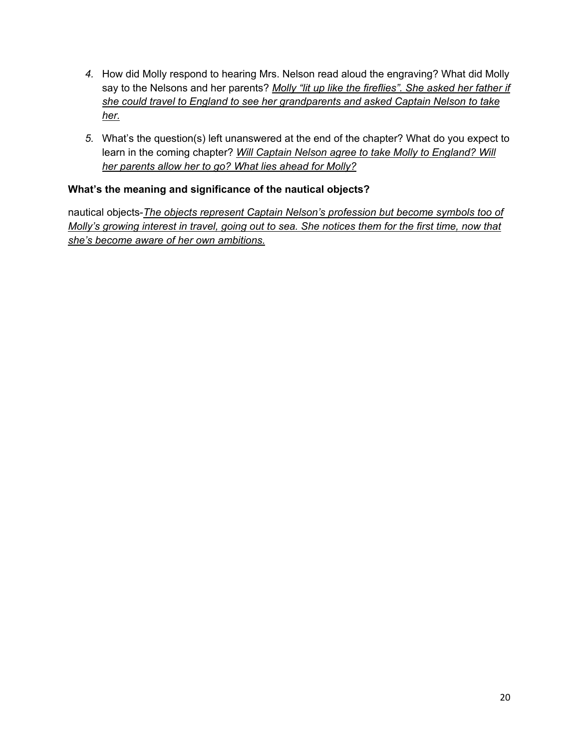- *4.* How did Molly respond to hearing Mrs. Nelson read aloud the engraving? What did Molly say to the Nelsons and her parents? *Molly "lit up like the fireflies". She asked her father if she could travel to England to see her grandparents and asked Captain Nelson to take her.*
- *5.* What's the question(s) left unanswered at the end of the chapter? What do you expect to learn in the coming chapter? *Will Captain Nelson agree to take Molly to England? Will her parents allow her to go? What lies ahead for Molly?*

### **What's the meaning and significance of the nautical objects?**

nautical objects-*The objects represent Captain Nelson's profession but become symbols too of Molly's growing interest in travel, going out to sea. She notices them for the first time, now that she's become aware of her own ambitions.*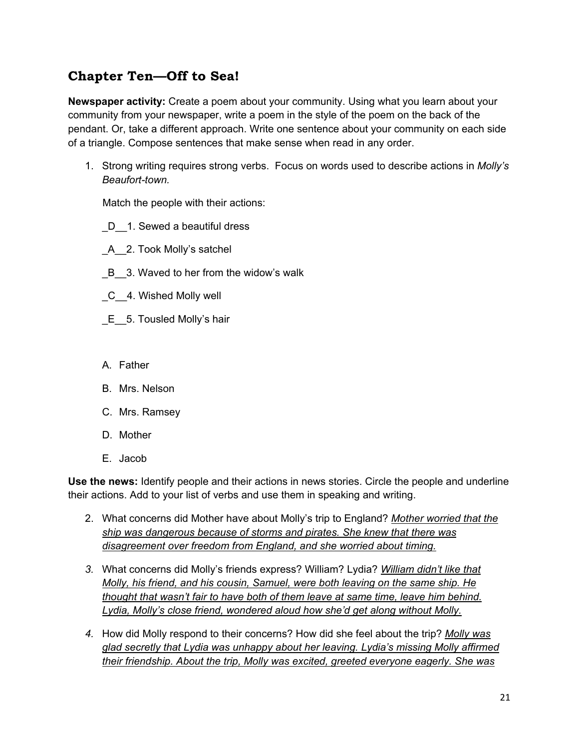# **Chapter Ten—Off to Sea!**

**Newspaper activity:** Create a poem about your community. Using what you learn about your community from your newspaper, write a poem in the style of the poem on the back of the pendant. Or, take a different approach. Write one sentence about your community on each side of a triangle. Compose sentences that make sense when read in any order.

1. Strong writing requires strong verbs. Focus on words used to describe actions in *Molly's Beaufort-town.*

Match the people with their actions:

- D 1. Sewed a beautiful dress
- \_A\_\_2. Took Molly's satchel
- B 3. Waved to her from the widow's walk
- \_C\_\_4. Wished Molly well
- E 5. Tousled Molly's hair
- A. Father
- B. Mrs. Nelson
- C. Mrs. Ramsey
- D. Mother
- E. Jacob

**Use the news:** Identify people and their actions in news stories. Circle the people and underline their actions. Add to your list of verbs and use them in speaking and writing.

- 2. What concerns did Mother have about Molly's trip to England? *Mother worried that the ship was dangerous because of storms and pirates. She knew that there was disagreement over freedom from England, and she worried about timing.*
- *3.* What concerns did Molly's friends express? William? Lydia? *William didn't like that Molly, his friend, and his cousin, Samuel, were both leaving on the same ship. He thought that wasn't fair to have both of them leave at same time, leave him behind. Lydia, Molly's close friend, wondered aloud how she'd get along without Molly.*
- *4.* How did Molly respond to their concerns? How did she feel about the trip? *Molly was glad secretly that Lydia was unhappy about her leaving. Lydia's missing Molly affirmed their friendship. About the trip, Molly was excited, greeted everyone eagerly. She was*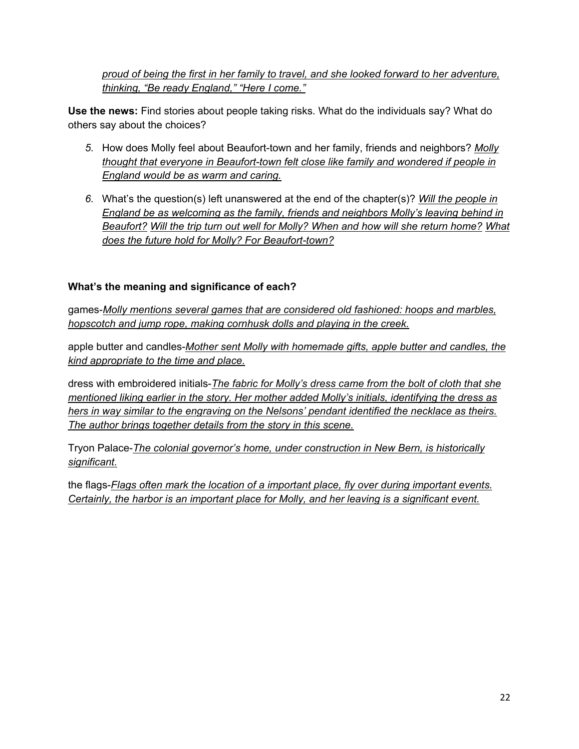*proud of being the first in her family to travel, and she looked forward to her adventure, thinking, "Be ready England," "Here I come."*

**Use the news:** Find stories about people taking risks. What do the individuals say? What do others say about the choices?

- *5.* How does Molly feel about Beaufort-town and her family, friends and neighbors? *Molly thought that everyone in Beaufort-town felt close like family and wondered if people in England would be as warm and caring.*
- *6.* What's the question(s) left unanswered at the end of the chapter(s)? *Will the people in England be as welcoming as the family, friends and neighbors Molly's leaving behind in Beaufort? Will the trip turn out well for Molly? When and how will she return home? What does the future hold for Molly? For Beaufort-town?*

### **What's the meaning and significance of each?**

games-*Molly mentions several games that are considered old fashioned: hoops and marbles, hopscotch and jump rope, making cornhusk dolls and playing in the creek.*

apple butter and candles-*Mother sent Molly with homemade gifts, apple butter and candles, the kind appropriate to the time and place.*

dress with embroidered initials-*The fabric for Molly's dress came from the bolt of cloth that she mentioned liking earlier in the story. Her mother added Molly's initials, identifying the dress as hers in way similar to the engraving on the Nelsons' pendant identified the necklace as theirs. The author brings together details from the story in this scene.*

Tryon Palace-*The colonial governor's home, under construction in New Bern, is historically significant.*

the flags-*Flags often mark the location of a important place, fly over during important events. Certainly, the harbor is an important place for Molly, and her leaving is a significant event.*